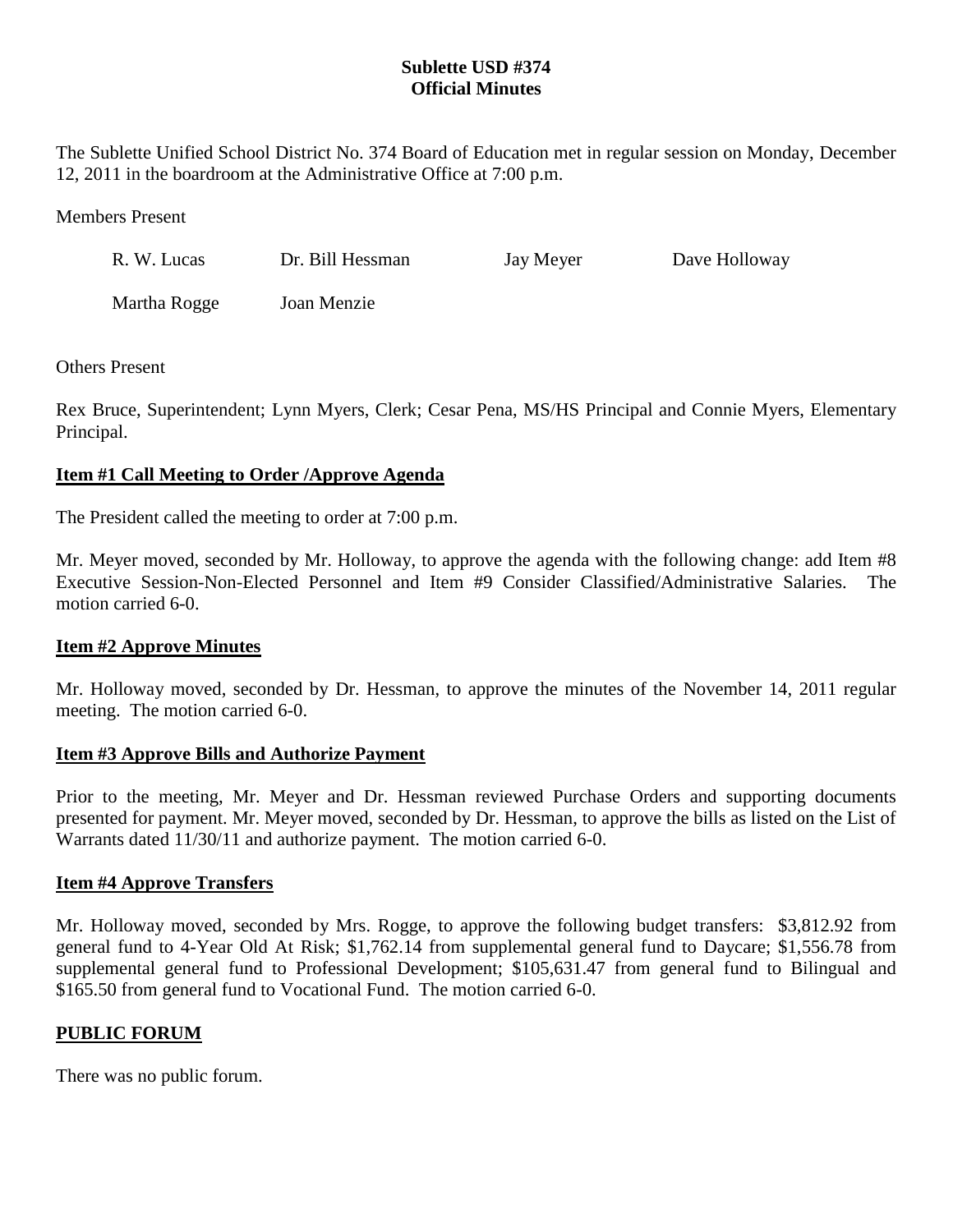# **Sublette USD #374 Official Minutes**

The Sublette Unified School District No. 374 Board of Education met in regular session on Monday, December 12, 2011 in the boardroom at the Administrative Office at 7:00 p.m.

Members Present

| R. W. Lucas  | Dr. Bill Hessman | Jay Meyer | Dave Holloway |
|--------------|------------------|-----------|---------------|
| Martha Rogge | Joan Menzie      |           |               |

### Others Present

Rex Bruce, Superintendent; Lynn Myers, Clerk; Cesar Pena, MS/HS Principal and Connie Myers, Elementary Principal.

# **Item #1 Call Meeting to Order /Approve Agenda**

The President called the meeting to order at 7:00 p.m.

Mr. Meyer moved, seconded by Mr. Holloway, to approve the agenda with the following change: add Item #8 Executive Session-Non-Elected Personnel and Item #9 Consider Classified/Administrative Salaries. The motion carried 6-0.

# **Item #2 Approve Minutes**

Mr. Holloway moved, seconded by Dr. Hessman, to approve the minutes of the November 14, 2011 regular meeting. The motion carried 6-0.

#### **Item #3 Approve Bills and Authorize Payment**

Prior to the meeting, Mr. Meyer and Dr. Hessman reviewed Purchase Orders and supporting documents presented for payment. Mr. Meyer moved, seconded by Dr. Hessman, to approve the bills as listed on the List of Warrants dated 11/30/11 and authorize payment. The motion carried 6-0.

#### **Item #4 Approve Transfers**

Mr. Holloway moved, seconded by Mrs. Rogge, to approve the following budget transfers: \$3,812.92 from general fund to 4-Year Old At Risk; \$1,762.14 from supplemental general fund to Daycare; \$1,556.78 from supplemental general fund to Professional Development; \$105,631.47 from general fund to Bilingual and \$165.50 from general fund to Vocational Fund. The motion carried 6-0.

# **PUBLIC FORUM**

There was no public forum.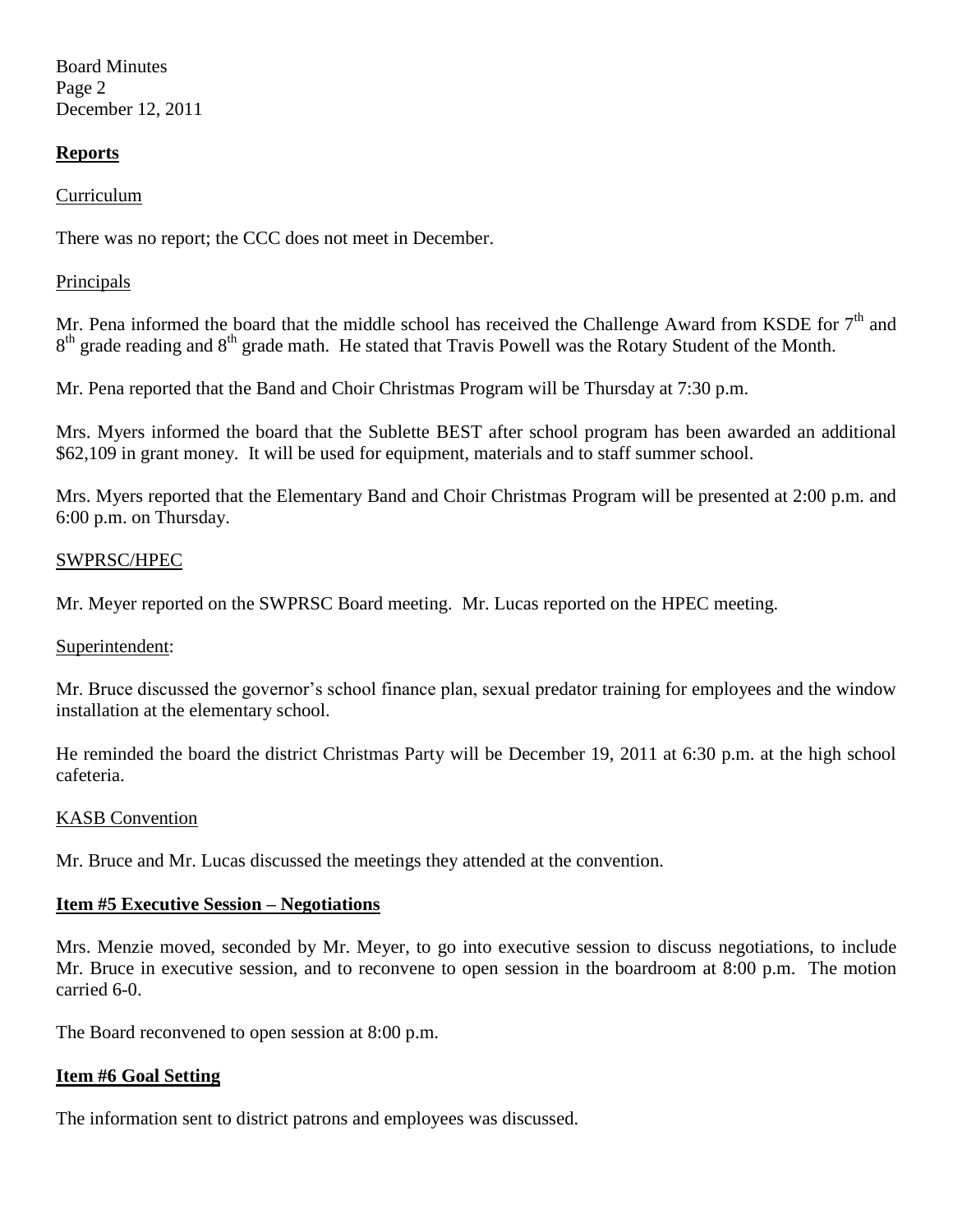Board Minutes Page 2 December 12, 2011

## **Reports**

#### Curriculum

There was no report; the CCC does not meet in December.

### Principals

Mr. Pena informed the board that the middle school has received the Challenge Award from KSDE for  $7<sup>th</sup>$  and 8<sup>th</sup> grade reading and 8<sup>th</sup> grade math. He stated that Travis Powell was the Rotary Student of the Month.

Mr. Pena reported that the Band and Choir Christmas Program will be Thursday at 7:30 p.m.

Mrs. Myers informed the board that the Sublette BEST after school program has been awarded an additional \$62,109 in grant money. It will be used for equipment, materials and to staff summer school.

Mrs. Myers reported that the Elementary Band and Choir Christmas Program will be presented at 2:00 p.m. and 6:00 p.m. on Thursday.

#### SWPRSC/HPEC

Mr. Meyer reported on the SWPRSC Board meeting. Mr. Lucas reported on the HPEC meeting.

#### Superintendent:

Mr. Bruce discussed the governor's school finance plan, sexual predator training for employees and the window installation at the elementary school.

He reminded the board the district Christmas Party will be December 19, 2011 at 6:30 p.m. at the high school cafeteria.

#### KASB Convention

Mr. Bruce and Mr. Lucas discussed the meetings they attended at the convention.

#### **Item #5 Executive Session – Negotiations**

Mrs. Menzie moved, seconded by Mr. Meyer, to go into executive session to discuss negotiations, to include Mr. Bruce in executive session, and to reconvene to open session in the boardroom at 8:00 p.m. The motion carried 6-0.

The Board reconvened to open session at 8:00 p.m.

# **Item #6 Goal Setting**

The information sent to district patrons and employees was discussed.